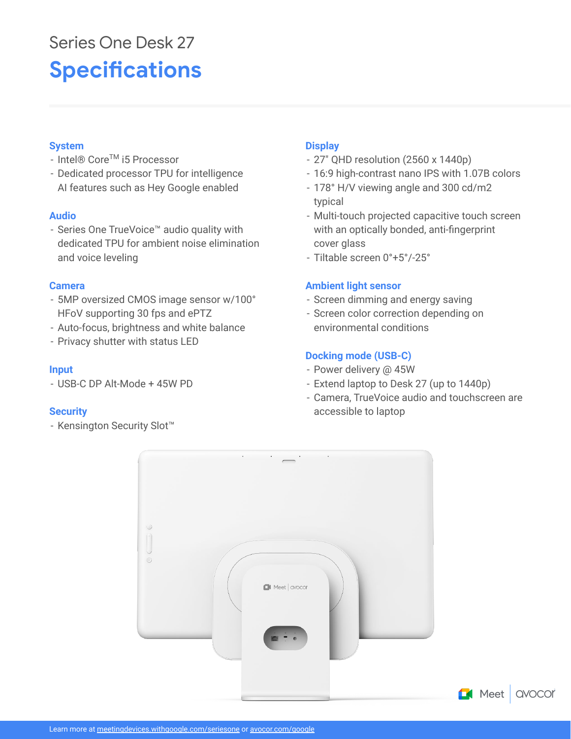# **Specifications** Series One Desk 27

### **System**

- Intel® CoreTM i5 Processor
- Dedicated processor TPU for intelligence AI features such as Hey Google enabled

#### **Audio**

- Series One TrueVoice™ audio quality with dedicated TPU for ambient noise elimination and voice leveling

#### **Camera**

- 5MP oversized CMOS image sensor w/100° HFoV supporting 30 fps and ePTZ
- Auto-focus, brightness and white balance
- Privacy shutter with status LED

#### **Input**

- USB-C DP Alt-Mode + 45W PD

### **Security**

- Kensington Security Slot™

# **Display**

- 27" QHD resolution (2560 x 1440p)
- 16:9 high-contrast nano IPS with 1.07B colors
- 178° H/V viewing angle and 300 cd/m2 typical
- Multi-touch projected capacitive touch screen with an optically bonded, anti-fingerprint cover glass
- Tiltable screen 0°+5°/-25°

### **Ambient light sensor**

- Screen dimming and energy saving
- Screen color correction depending on environmental conditions

## **Docking mode (USB-C)**

- Power delivery @ 45W
- Extend laptop to Desk 27 (up to 1440p)
- Camera, TrueVoice audio and touchscreen are accessible to laptop

**QVOCOr**